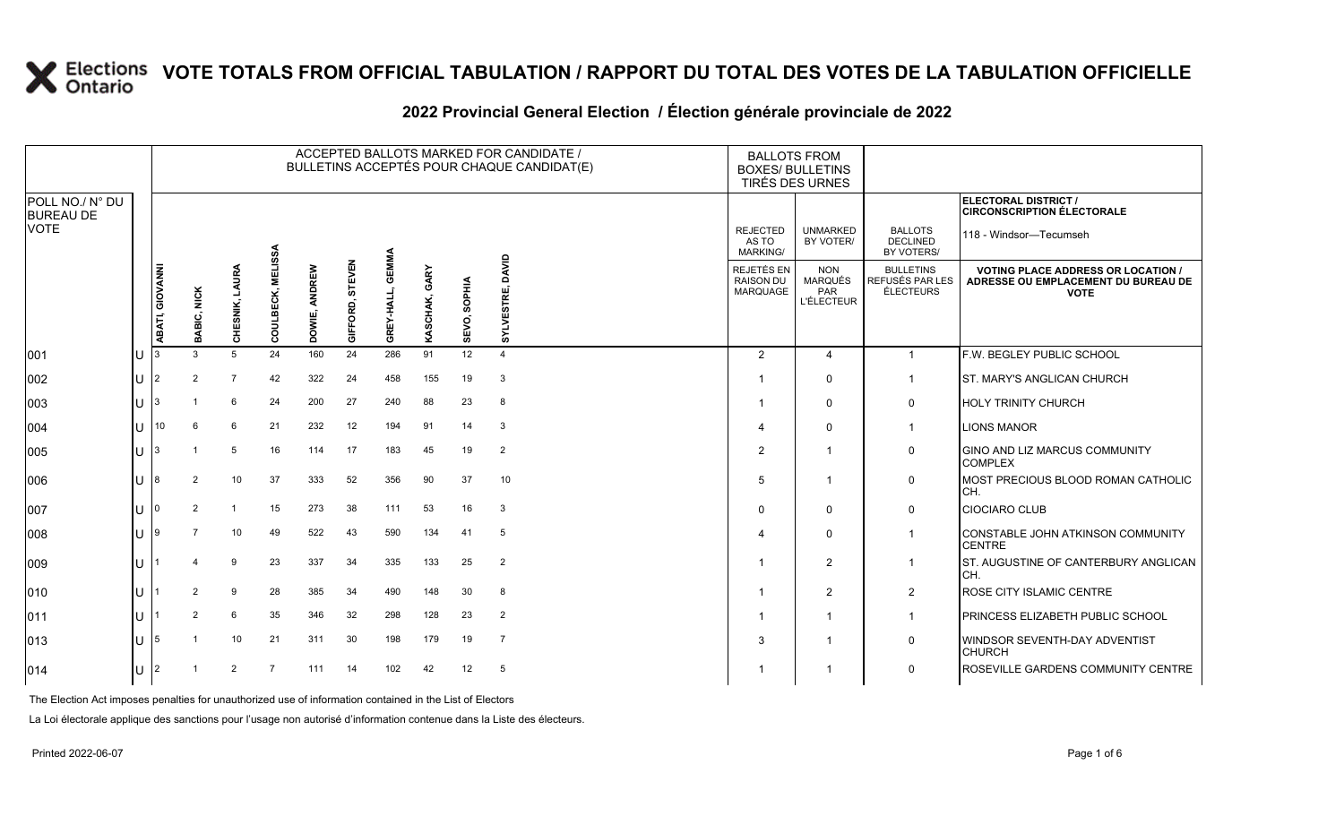### **2022 Provincial General Election / Élection générale provinciale de 2022**

|                                     |     |                        |               |                |                |                  |                    |                    |                         |              | ACCEPTED BALLOTS MARKED FOR CANDIDATE /<br>BULLETINS ACCEPTÉS POUR CHAQUE CANDIDAT(E) | <b>BALLOTS FROM</b><br><b>BOXES/ BULLETINS</b><br><b>TIRÉS DES URNES</b> |                                             |                                                          |                                                  |                                                                                                 |
|-------------------------------------|-----|------------------------|---------------|----------------|----------------|------------------|--------------------|--------------------|-------------------------|--------------|---------------------------------------------------------------------------------------|--------------------------------------------------------------------------|---------------------------------------------|----------------------------------------------------------|--------------------------------------------------|-------------------------------------------------------------------------------------------------|
| POLL NO./ N° DU<br><b>BUREAU DE</b> |     |                        |               |                |                |                  |                    |                    |                         |              |                                                                                       |                                                                          |                                             |                                                          |                                                  | ELECTORAL DISTRICT /<br><b>CIRCONSCRIPTION ÉLECTORALE</b>                                       |
| <b>VOTE</b>                         |     |                        |               |                | s<br><u>ທ</u>  |                  |                    |                    |                         |              |                                                                                       |                                                                          | <b>REJECTED</b><br>AS TO<br><b>MARKING/</b> | <b>UNMARKED</b><br>BY VOTER/                             | <b>BALLOTS</b><br><b>DECLINED</b><br>BY VOTERS/  | 118 - Windsor-Tecumseh                                                                          |
|                                     |     | <b>ABATI, GIOVANNI</b> | BABIC, NICK   | CHESNIK,       | ECK,<br>COULBE | ANDREW<br>DOWIE, | STEVEN<br>GIFFORD, | GEMM<br>GREY-HALL, | GARY<br><b>KASCHAK,</b> | SEVO, SOPHIA | DAVID<br>SYLVESTRE,                                                                   |                                                                          | REJETÉS EN<br>RAISON DU<br>MARQUAGE         | <b>NON</b><br>MARQUÉS<br><b>PAR</b><br><b>L'ÉLECTEUR</b> | <b>BULLETINS</b><br>REFUSÉS PAR LES<br>ÉLECTEURS | <b>VOTING PLACE ADDRESS OR LOCATION /</b><br>ADRESSE OU EMPLACEMENT DU BUREAU DE<br><b>VOTE</b> |
| 001                                 | IU  |                        |               | 5              | 24             | 160              | 24                 | 286                | 91                      | 12           | $\overline{4}$                                                                        |                                                                          | 2                                           | 4                                                        | $\mathbf{1}$                                     | F.W. BEGLEY PUBLIC SCHOOL                                                                       |
| 002                                 | ΙU  | 2                      | $\mathcal{P}$ | $\overline{7}$ | 42             | 322              | 24                 | 458                | 155                     | 19           | 3                                                                                     |                                                                          |                                             | $\Omega$                                                 | $\overline{1}$                                   | <b>ST. MARY'S ANGLICAN CHURCH</b>                                                               |
| 003                                 | lU  | 3                      |               | 6              | 24             | 200              | 27                 | 240                | 88                      | 23           | 8                                                                                     |                                                                          |                                             | 0                                                        | 0                                                | <b>HOLY TRINITY CHURCH</b>                                                                      |
| 004                                 | ΠT  | 10                     | 6             | 6              | 21             | 232              | 12                 | 194                | 91                      | 14           | 3                                                                                     |                                                                          | $\overline{4}$                              | 0                                                        | $\mathbf 1$                                      | <b>LIONS MANOR</b>                                                                              |
| 005                                 | lU  | 3                      |               | 5              | 16             | 114              | 17                 | 183                | 45                      | 19           | $\overline{2}$                                                                        |                                                                          | $\overline{2}$                              |                                                          | 0                                                | GINO AND LIZ MARCUS COMMUNITY<br><b>COMPLEX</b>                                                 |
| 006                                 | IU  |                        | 2             | 10             | 37             | 333              | 52                 | 356                | 90                      | 37           | 10                                                                                    |                                                                          | -5                                          | -1                                                       | 0                                                | MOST PRECIOUS BLOOD ROMAN CATHOLIC<br>CH.                                                       |
| 007                                 | IU  |                        | $\mathcal{P}$ | -1             | 15             | 273              | 38                 | 111                | 53                      | 16           | 3                                                                                     |                                                                          | $\Omega$                                    | $\mathbf{0}$                                             | 0                                                | <b>CIOCIARO CLUB</b>                                                                            |
| 008                                 | IU  | g                      |               | 10             | 49             | 522              | 43                 | 590                | 134                     | 41           | 5                                                                                     |                                                                          | $\boldsymbol{\Delta}$                       | $\mathbf{0}$                                             | $\mathbf{1}$                                     | CONSTABLE JOHN ATKINSON COMMUNITY<br><b>CENTRE</b>                                              |
| 009                                 | ПT  |                        |               | 9              | 23             | 337              | 34                 | 335                | 133                     | 25           | $\overline{2}$                                                                        |                                                                          |                                             | $\overline{2}$                                           | $\mathbf{1}$                                     | <b>IST. AUGUSTINE OF CANTERBURY ANGLICAN</b><br>CH.                                             |
| 010                                 | ПT  |                        | 2             | 9              | 28             | 385              | 34                 | 490                | 148                     | 30           | 8                                                                                     |                                                                          |                                             | 2                                                        | $\overline{2}$                                   | <b>ROSE CITY ISLAMIC CENTRE</b>                                                                 |
| 011                                 | ПT  |                        | 2             | 6              | 35             | 346              | 32                 | 298                | 128                     | 23           | $\overline{2}$                                                                        |                                                                          |                                             |                                                          | 1                                                | PRINCESS ELIZABETH PUBLIC SCHOOL                                                                |
| 013                                 | lU  |                        |               | 10             | 21             | 311              | 30                 | 198                | 179                     | 19           | $\overline{7}$                                                                        |                                                                          | 3                                           |                                                          | $\mathbf 0$                                      | WINDSOR SEVENTH-DAY ADVENTIST<br><b>CHURCH</b>                                                  |
| 014                                 | IU. | 2                      |               | $\overline{2}$ | $\overline{7}$ | 111              | 14                 | 102                | 42                      | 12           | 5                                                                                     |                                                                          |                                             |                                                          | $\mathbf 0$                                      | ROSEVILLE GARDENS COMMUNITY CENTRE                                                              |

The Election Act imposes penalties for unauthorized use of information contained in the List of Electors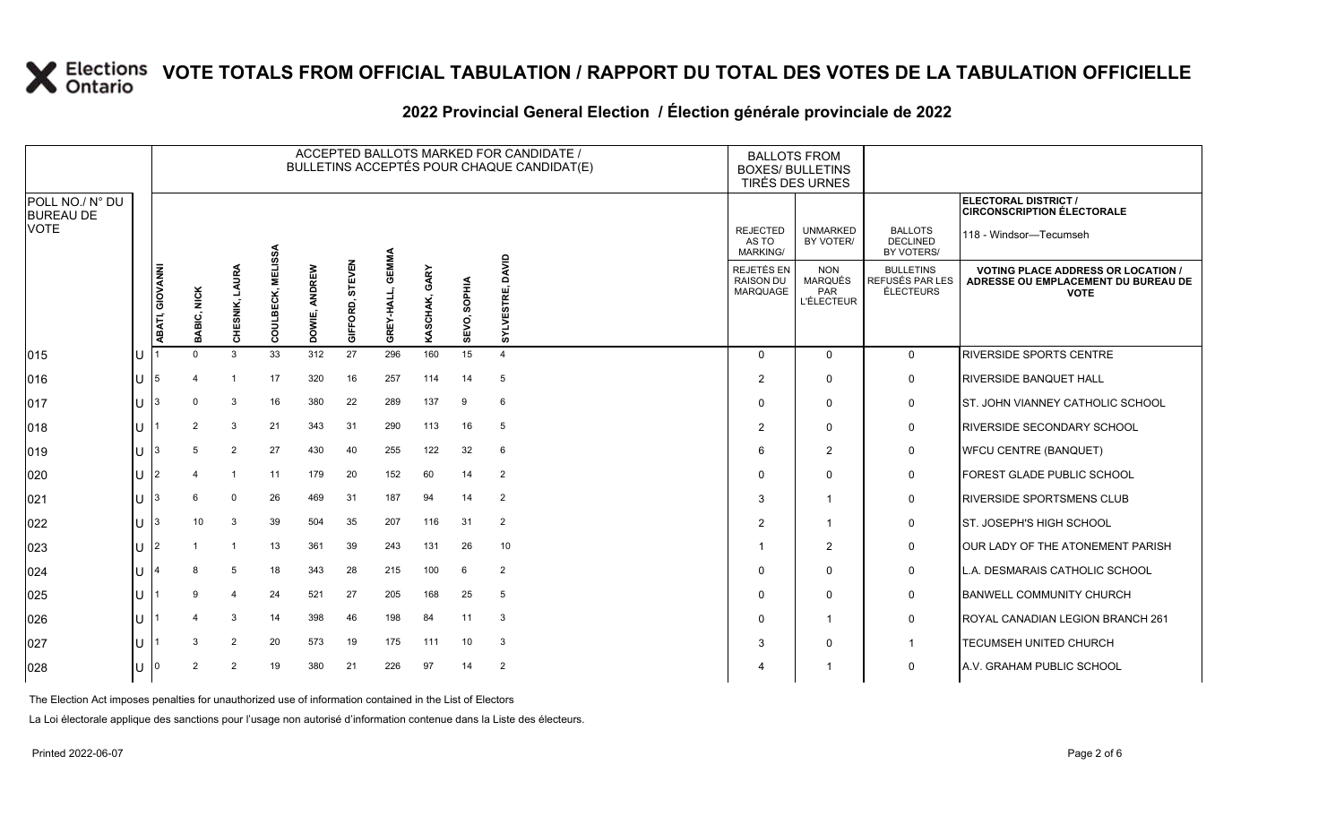### **2022 Provincial General Election / Élection générale provinciale de 2022**

|                                     |   |                 |                 |                  |                   |                  |                    |                 |                         |                        | ACCEPTED BALLOTS MARKED FOR CANDIDATE /<br>BULLETINS ACCEPTÉS POUR CHAQUE CANDIDAT(E) | <b>BOXES/ BULLETINS</b>                           | <b>BALLOTS FROM</b><br>TIRÉS DES URNES                   |                                                  |                                                                                                 |
|-------------------------------------|---|-----------------|-----------------|------------------|-------------------|------------------|--------------------|-----------------|-------------------------|------------------------|---------------------------------------------------------------------------------------|---------------------------------------------------|----------------------------------------------------------|--------------------------------------------------|-------------------------------------------------------------------------------------------------|
| POLL NO./ N° DU<br><b>BUREAU DE</b> |   |                 |                 |                  |                   |                  |                    |                 |                         |                        |                                                                                       |                                                   |                                                          |                                                  | ELECTORAL DISTRICT /<br><b>CIRCONSCRIPTION ÉLECTORALE</b>                                       |
| <b>VOTE</b>                         |   |                 |                 |                  |                   |                  |                    |                 |                         |                        |                                                                                       | <b>REJECTED</b><br>AS TO<br><b>MARKING/</b>       | <b>UNMARKED</b><br>BY VOTER/                             | <b>BALLOTS</b><br><b>DECLINED</b><br>BY VOTERS/  | 118 - Windsor-Tecumseh                                                                          |
|                                     |   | ABATI, GIOVANNI | BABIC, NICK     | AURA<br>CHESNIK, | COULBECK, MELISSA | ANDREW<br>DOWIE, | STEVEN<br>GIFFORD, | GEM<br>GREY-HAL | GARY<br><b>KASCHAK,</b> | <b>SOPHIA</b><br>SEVO, | DAVID<br>$\overline{\alpha}$<br><b>SYLVES</b>                                         | <b>REJETÉS EN</b><br><b>RAISON DU</b><br>MARQUAGE | <b>NON</b><br><b>MARQUÉS</b><br>PAR<br><b>L'ÉLECTEUR</b> | <b>BULLETINS</b><br>REFUSÉS PAR LES<br>ÉLECTEURS | <b>VOTING PLACE ADDRESS OR LOCATION /</b><br>ADRESSE OU EMPLACEMENT DU BUREAU DE<br><b>VOTE</b> |
| 015                                 |   |                 | <sup>0</sup>    | 3                | 33                | 312              | 27                 | 296             | 160                     | 15                     | $\overline{4}$                                                                        | $\Omega$                                          | $\Omega$                                                 | $\Omega$                                         | RIVERSIDE SPORTS CENTRE                                                                         |
| 016                                 | U |                 |                 |                  | 17                | 320              | 16                 | 257             | 114                     | 14                     | 5                                                                                     | 2                                                 | 0                                                        | 0                                                | <b>RIVERSIDE BANQUET HALL</b>                                                                   |
| 017                                 |   |                 |                 | 3                | 16                | 380              | 22                 | 289             | 137                     | 9                      | 6                                                                                     | O                                                 | $\mathbf 0$                                              | 0                                                | ST. JOHN VIANNEY CATHOLIC SCHOOL                                                                |
| 018                                 |   |                 | 2               | 3                | 21                | 343              | 31                 | 290             | 113                     | 16                     | 5                                                                                     | 2                                                 | $\mathbf 0$                                              | 0                                                | <b>RIVERSIDE SECONDARY SCHOOL</b>                                                               |
| 019                                 |   |                 | 5               | $\overline{2}$   | 27                | 430              | 40                 | 255             | 122                     | 32                     | 6                                                                                     | 6                                                 | $\overline{2}$                                           | 0                                                | WFCU CENTRE (BANQUET)                                                                           |
| 020                                 |   |                 |                 |                  | 11                | 179              | 20                 | 152             | 60                      | 14                     | $\overline{2}$                                                                        | $\Omega$                                          | $\mathbf 0$                                              | $\mathbf 0$                                      | <b>FOREST GLADE PUBLIC SCHOOL</b>                                                               |
| 021                                 |   |                 | 6               | $\mathbf 0$      | 26                | 469              | 31                 | 187             | 94                      | 14                     | $\overline{2}$                                                                        | 3                                                 | -1                                                       | 0                                                | <b>RIVERSIDE SPORTSMENS CLUB</b>                                                                |
| 022                                 |   |                 | 10 <sup>°</sup> | 3                | 39                | 504              | 35                 | 207             | 116                     | 31                     | $\overline{2}$                                                                        | 2                                                 |                                                          | 0                                                | IST. JOSEPH'S HIGH SCHOOL                                                                       |
| 023                                 |   |                 |                 |                  | 13                | 361              | 39                 | 243             | 131                     | 26                     | 10                                                                                    |                                                   | 2                                                        | $\mathsf{O}$                                     | <b>JOUR LADY OF THE ATONEMENT PARISH</b>                                                        |
| 024                                 |   |                 | 8               | 5                | 18                | 343              | 28                 | 215             | 100                     | 6                      | 2                                                                                     |                                                   | 0                                                        | 0                                                | L.A. DESMARAIS CATHOLIC SCHOOL                                                                  |
| 025                                 |   |                 | 9               | $\Delta$         | 24                | 521              | 27                 | 205             | 168                     | 25                     | 5                                                                                     |                                                   | $\mathbf 0$                                              | 0                                                | <b>BANWELL COMMUNITY CHURCH</b>                                                                 |
| 026                                 |   |                 |                 | 3                | 14                | 398              | 46                 | 198             | 84                      | 11                     | -3                                                                                    | $\Omega$                                          | $\mathbf{1}$                                             | 0                                                | ROYAL CANADIAN LEGION BRANCH 261                                                                |
| 027                                 |   |                 | 3               | $\overline{2}$   | 20                | 573              | 19                 | 175             | 111                     | 10                     | 3                                                                                     | 3                                                 | 0                                                        | $\overline{1}$                                   | TECUMSEH UNITED CHURCH                                                                          |
| 028                                 |   |                 | $\overline{2}$  | $\overline{2}$   | 19                | 380              | 21                 | 226             | 97                      | 14                     | $\overline{2}$                                                                        |                                                   |                                                          | $\mathbf 0$                                      | A.V. GRAHAM PUBLIC SCHOOL                                                                       |

The Election Act imposes penalties for unauthorized use of information contained in the List of Electors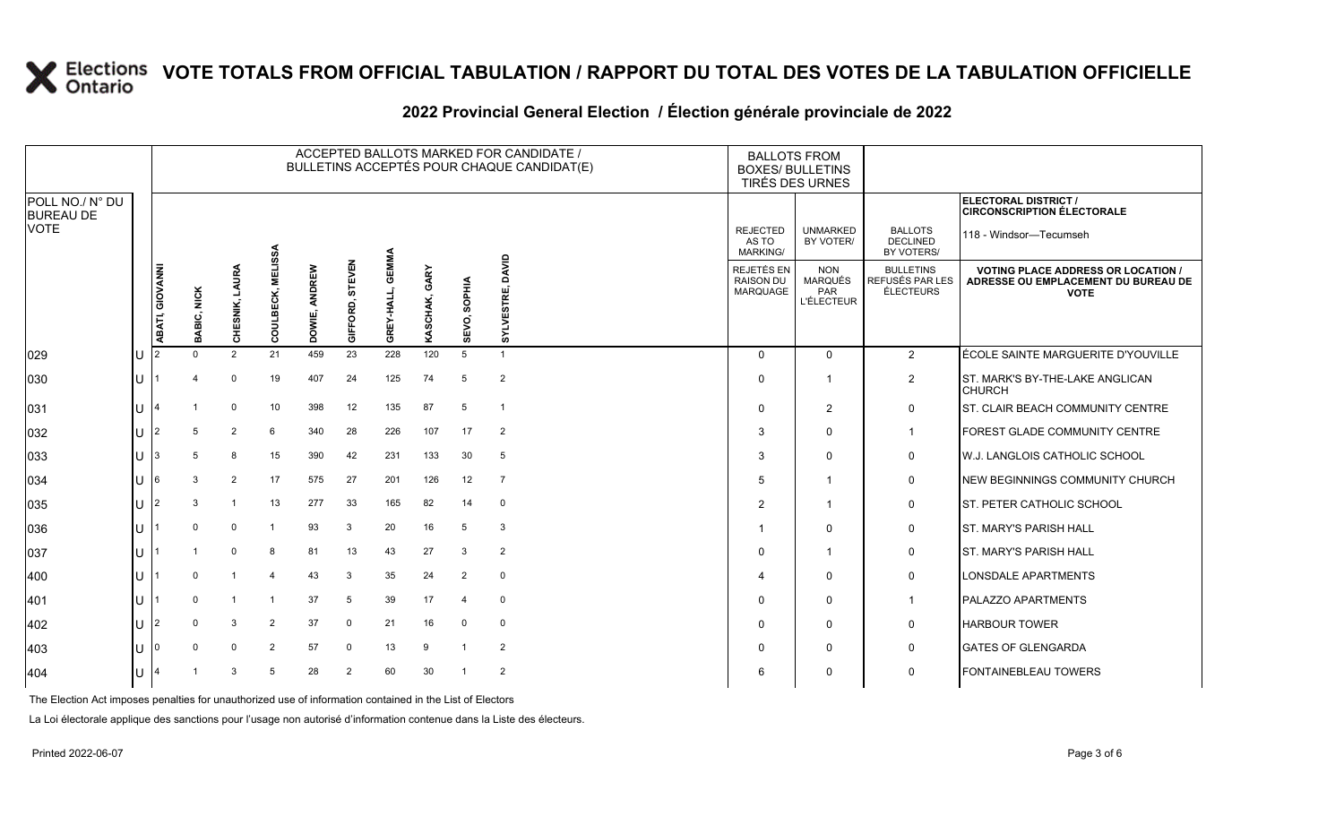### **2022 Provincial General Election / Élection générale provinciale de 2022**

|                                     |              |                 |             |                   |                             |                  |                           |               |                  |                        | ACCEPTED BALLOTS MARKED FOR CANDIDATE /<br>BULLETINS ACCEPTÉS POUR CHAQUE CANDIDAT(E) |                                            | <b>BALLOTS FROM</b><br><b>BOXES/ BULLETINS</b><br>TIRÉS DES URNES |                                                         |                                                                                                 |
|-------------------------------------|--------------|-----------------|-------------|-------------------|-----------------------------|------------------|---------------------------|---------------|------------------|------------------------|---------------------------------------------------------------------------------------|--------------------------------------------|-------------------------------------------------------------------|---------------------------------------------------------|-------------------------------------------------------------------------------------------------|
| POLL NO./ N° DU<br><b>BUREAU DE</b> |              |                 |             |                   |                             |                  |                           |               |                  |                        |                                                                                       |                                            |                                                                   |                                                         | ELECTORAL DISTRICT /<br><b>CIRCONSCRIPTION ÉLECTORALE</b>                                       |
| <b>VOTE</b>                         |              |                 |             |                   |                             |                  |                           |               |                  |                        |                                                                                       | <b>REJECTED</b><br>AS TO<br>MARKING/       | <b>UNMARKED</b><br>BY VOTER/                                      | <b>BALLOTS</b><br><b>DECLINED</b><br>BY VOTERS/         | 118 - Windsor-Tecumseh                                                                          |
|                                     |              | ABATI, GIOVANNI | BABIC, NICK | LAURA<br>CHESNIK, | <b>MELISSA</b><br>COULBECK, | ANDREW<br>DOWIE, | <b>STEVEN</b><br>GIFFORD, | ᇛ<br>GREY-HAL | GARY<br>KASCHAK, | <b>SOPHIA</b><br>SEVO, | DAVID<br>пí<br><b>SYLVESTR</b>                                                        | REJETÉS EN<br><b>RAISON DU</b><br>MARQUAGE | <b>NON</b><br><b>MARQUÉS</b><br><b>PAR</b><br><b>L'ÉLECTEUR</b>   | <b>BULLETINS</b><br>REFUSÉS PAR LES<br><b>ÉLECTEURS</b> | <b>VOTING PLACE ADDRESS OR LOCATION /</b><br>ADRESSE OU EMPLACEMENT DU BUREAU DE<br><b>VOTE</b> |
| 029                                 | lU           |                 | $\Omega$    | $\overline{2}$    | 21                          | 459              | 23                        | 228           | 120              | 5                      | $\overline{1}$                                                                        | $\Omega$                                   | $\mathbf 0$                                                       | $\overline{2}$                                          | ÉCOLE SAINTE MARGUERITE D'YOUVILLE                                                              |
| 030                                 | ΙU           |                 |             | $\Omega$          | 19                          | 407              | 24                        | 125           | 74               | 5                      | $\overline{2}$                                                                        | $\Omega$                                   |                                                                   | $\overline{2}$                                          | ST. MARK'S BY-THE-LAKE ANGLICAN<br><b>CHURCH</b>                                                |
| 031                                 | lU           |                 |             | $\Omega$          | 10                          | 398              | 12                        | 135           | 87               | 5                      | $\overline{1}$                                                                        | $\Omega$                                   | $\overline{2}$                                                    | 0                                                       | ST. CLAIR BEACH COMMUNITY CENTRE                                                                |
| 032                                 | Ш            | $\overline{2}$  | 5           | $\overline{2}$    | 6                           | 340              | 28                        | 226           | 107              | 17                     | $\overline{2}$                                                                        | 3                                          | $\mathbf 0$                                                       | $\mathbf{1}$                                            | FOREST GLADE COMMUNITY CENTRE                                                                   |
| 033                                 | IП           | 3               | 5           | 8                 | 15                          | 390              | 42                        | 231           | 133              | 30                     | 5                                                                                     | 3                                          | 0                                                                 | 0                                                       | W.J. LANGLOIS CATHOLIC SCHOOL                                                                   |
| 034                                 | ΙU           |                 | 3           | 2                 | 17                          | 575              | 27                        | 201           | 126              | 12                     | $\overline{7}$                                                                        | 5                                          |                                                                   | $\mathbf 0$                                             | NEW BEGINNINGS COMMUNITY CHURCH                                                                 |
| 035                                 | lu           | $\overline{2}$  | 3           |                   | 13                          | 277              | 33                        | 165           | 82               | 14                     | $\mathbf 0$                                                                           | $\overline{2}$                             | -1                                                                | $\mathsf{O}$                                            | <b>ST. PETER CATHOLIC SCHOOL</b>                                                                |
| 036                                 | IП           |                 | $\Omega$    | $\mathbf 0$       | -1                          | 93               | 3                         | 20            | 16               | 5                      | 3                                                                                     |                                            | 0                                                                 | $\mathbf 0$                                             | <b>ST. MARY'S PARISH HALL</b>                                                                   |
| 037                                 | $\mathbf{U}$ |                 |             | $\Omega$          | 8                           | 81               | 13                        | 43            | 27               | 3                      | $\overline{2}$                                                                        | $\Omega$                                   |                                                                   | 0                                                       | <b>ST. MARY'S PARISH HALL</b>                                                                   |
| 400                                 | ΙU           |                 | $\Omega$    |                   | 4                           | 43               | 3                         | 35            | 24               | $\overline{2}$         | $\mathbf 0$                                                                           |                                            | 0                                                                 | 0                                                       | <b>LONSDALE APARTMENTS</b>                                                                      |
| 401                                 | IП           |                 | 0           |                   | -1                          | 37               | 5                         | 39            | 17               | $\overline{4}$         | $\mathbf 0$                                                                           | 0                                          | $\mathbf 0$                                                       | $\mathbf{1}$                                            | <b>PALAZZO APARTMENTS</b>                                                                       |
| 402                                 | lu           | 2               | $\Omega$    | 3                 | $\overline{2}$              | 37               | $\mathbf 0$               | 21            | 16               | $\mathbf 0$            | $\mathbf 0$                                                                           | $\Omega$                                   | $\mathbf 0$                                                       | 0                                                       | <b>HARBOUR TOWER</b>                                                                            |
| 403                                 | lυ           |                 |             | $\Omega$          | $\overline{2}$              | 57               | $\mathbf 0$               | 13            | 9                | -1                     | $\overline{2}$                                                                        |                                            | $\mathbf 0$                                                       | 0                                                       | <b>GATES OF GLENGARDA</b>                                                                       |
| 404                                 | lU           | 4               |             | 3                 | 5                           | 28               | $\overline{2}$            | 60            | 30               | - 1                    | $\overline{2}$                                                                        | 6                                          | 0                                                                 | 0                                                       | <b>FONTAINEBLEAU TOWERS</b>                                                                     |

The Election Act imposes penalties for unauthorized use of information contained in the List of Electors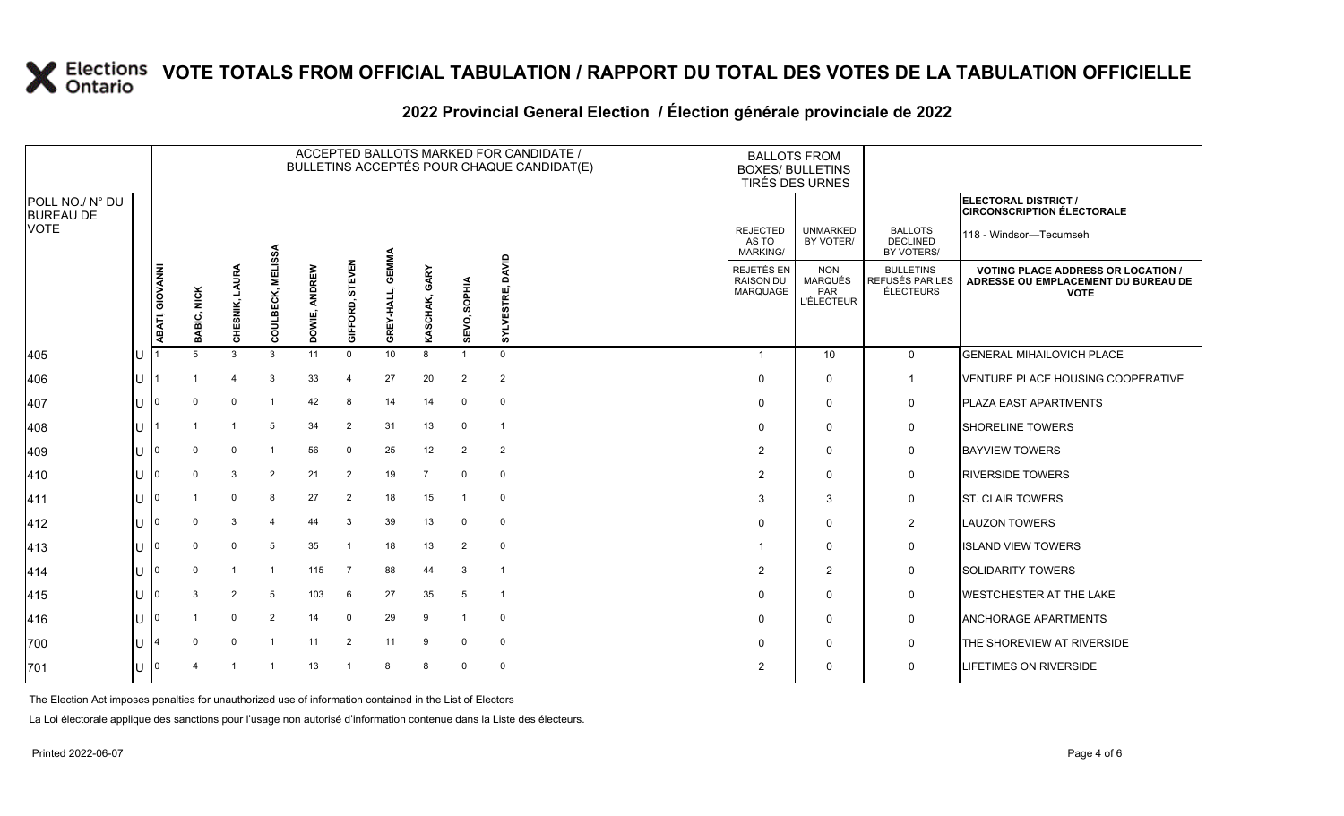### **2022 Provincial General Election / Élection générale provinciale de 2022**

|                                     |   |                        |             |                   |                   |                  |                 |               |                         |                 | ACCEPTED BALLOTS MARKED FOR CANDIDATE /<br>BULLETINS ACCEPTÉS POUR CHAQUE CANDIDAT(E) | <b>BALLOTS FROM</b><br><b>BOXES/ BULLETINS</b>    | TIRÉS DES URNES                                   |                                                  |                                                                                                 |
|-------------------------------------|---|------------------------|-------------|-------------------|-------------------|------------------|-----------------|---------------|-------------------------|-----------------|---------------------------------------------------------------------------------------|---------------------------------------------------|---------------------------------------------------|--------------------------------------------------|-------------------------------------------------------------------------------------------------|
| POLL NO./ N° DU<br><b>BUREAU DE</b> |   |                        |             |                   |                   |                  |                 |               |                         |                 |                                                                                       |                                                   |                                                   |                                                  | ELECTORAL DISTRICT /<br><b>CIRCONSCRIPTION ÉLECTORALE</b>                                       |
| <b>VOTE</b>                         |   |                        |             |                   |                   |                  |                 |               |                         |                 |                                                                                       | <b>REJECTED</b><br>AS TO<br>MARKING/              | <b>UNMARKED</b><br>BY VOTER/                      | <b>BALLOTS</b><br><b>DECLINED</b><br>BY VOTERS/  | 118 - Windsor-Tecumseh                                                                          |
|                                     |   | <b>ABATI, GIOVANNI</b> | BABIC, NICK | LAURA<br>CHESNIK, | COULBECK, MELISSA | ANDREW<br>DOWIE, | GIFFORD, STEVEN | 忌<br>GREY-HAL | GARY<br><b>KASCHAK,</b> | SOPHIA<br>SEVO, | DAVID<br>SYLVESTRE,                                                                   | <b>REJETÉS EN</b><br><b>RAISON DU</b><br>MARQUAGE | <b>NON</b><br><b>MARQUÉS</b><br>PAR<br>L'ÉLECTEUR | <b>BULLETINS</b><br>REFUSÉS PAR LES<br>ÉLECTEURS | <b>VOTING PLACE ADDRESS OR LOCATION /</b><br>ADRESSE OU EMPLACEMENT DU BUREAU DE<br><b>VOTE</b> |
| 405                                 |   |                        |             | 3                 | 3                 | 11               | $\mathbf 0$     | 10            | 8                       |                 | $\mathbf 0$                                                                           |                                                   | 10                                                | $\mathbf 0$                                      | <b>GENERAL MIHAILOVICH PLACE</b>                                                                |
| 406                                 | U |                        |             |                   | 3                 | 33               | $\overline{4}$  | 27            | 20                      | $\overline{2}$  | $\overline{2}$                                                                        | 0                                                 | $\mathbf{0}$                                      | $\mathbf{1}$                                     | VENTURE PLACE HOUSING COOPERATIVE                                                               |
| 407                                 |   |                        | $\Omega$    | $\Omega$          |                   | 42               | 8               | 14            | 14                      | $\Omega$        | $\mathbf 0$                                                                           | 0                                                 | $\mathbf 0$                                       | 0                                                | <b>PLAZA EAST APARTMENTS</b>                                                                    |
| 408                                 |   |                        |             | -1                | 5                 | 34               | $\overline{2}$  | 31            | 13                      | $\mathbf 0$     | $\overline{1}$                                                                        | $\Omega$                                          | $\mathbf{0}$                                      | 0                                                | <b>SHORELINE TOWERS</b>                                                                         |
| 409                                 |   |                        | $\Omega$    | $\mathbf 0$       |                   | 56               | $\mathbf 0$     | 25            | 12                      | $\overline{2}$  | $\overline{2}$                                                                        | $\mathbf{2}$                                      | $\mathbf 0$                                       | 0                                                | <b>BAYVIEW TOWERS</b>                                                                           |
| 410                                 |   |                        | $\Omega$    | 3                 | $\overline{2}$    | 21               | $\overline{2}$  | 19            | $\overline{7}$          | $\Omega$        | 0                                                                                     | $\overline{2}$                                    | $\mathbf 0$                                       | 0                                                | <b>RIVERSIDE TOWERS</b>                                                                         |
| 411                                 |   |                        |             | $\mathbf 0$       | 8                 | 27               | $\overline{2}$  | 18            | 15                      | -1              | 0                                                                                     | 3                                                 | 3                                                 | 0                                                | <b>ST. CLAIR TOWERS</b>                                                                         |
| 412                                 |   |                        | 0           | 3                 |                   | 44               | 3               | 39            | 13                      | $\mathbf 0$     | $\mathbf 0$                                                                           | $\Omega$                                          | $\mathbf{0}$                                      | $\overline{2}$                                   | <b>LAUZON TOWERS</b>                                                                            |
| 413                                 |   |                        | 0           | $\mathbf 0$       | 5                 | 35               | $\overline{1}$  | 18            | 13                      | $\overline{2}$  | 0                                                                                     |                                                   | $\mathbf{0}$                                      | 0                                                | <b>ISLAND VIEW TOWERS</b>                                                                       |
| 414                                 |   |                        | $\Omega$    | -1                | -1                | 115              | $\overline{7}$  | 88            | 44                      | 3               | $\overline{1}$                                                                        | $\overline{2}$                                    | 2                                                 | 0                                                | <b>SOLIDARITY TOWERS</b>                                                                        |
| 415                                 |   |                        | 3           | $\overline{2}$    | 5                 | 103              | 6               | 27            | 35                      | 5               | $\overline{1}$                                                                        | 0                                                 | $\mathbf 0$                                       | 0                                                | <b>WESTCHESTER AT THE LAKE</b>                                                                  |
| 416                                 |   |                        |             | $\mathbf 0$       | $\overline{2}$    | 14               | 0               | 29            | 9                       |                 | 0                                                                                     | 0                                                 | $\mathbf 0$                                       | 0                                                | <b>ANCHORAGE APARTMENTS</b>                                                                     |
| 700                                 |   |                        | 0           | $\mathbf 0$       |                   | 11               | $\overline{2}$  | 11            | 9                       | $\Omega$        | $\mathbf 0$                                                                           | 0                                                 | $\mathbf{0}$                                      | 0                                                | THE SHOREVIEW AT RIVERSIDE                                                                      |
| 701                                 |   |                        |             |                   |                   | 13               | $\overline{1}$  | 8             | 8                       | $\Omega$        | 0                                                                                     | 2                                                 | $\mathbf{0}$                                      | 0                                                | <b>LIFETIMES ON RIVERSIDE</b>                                                                   |

The Election Act imposes penalties for unauthorized use of information contained in the List of Electors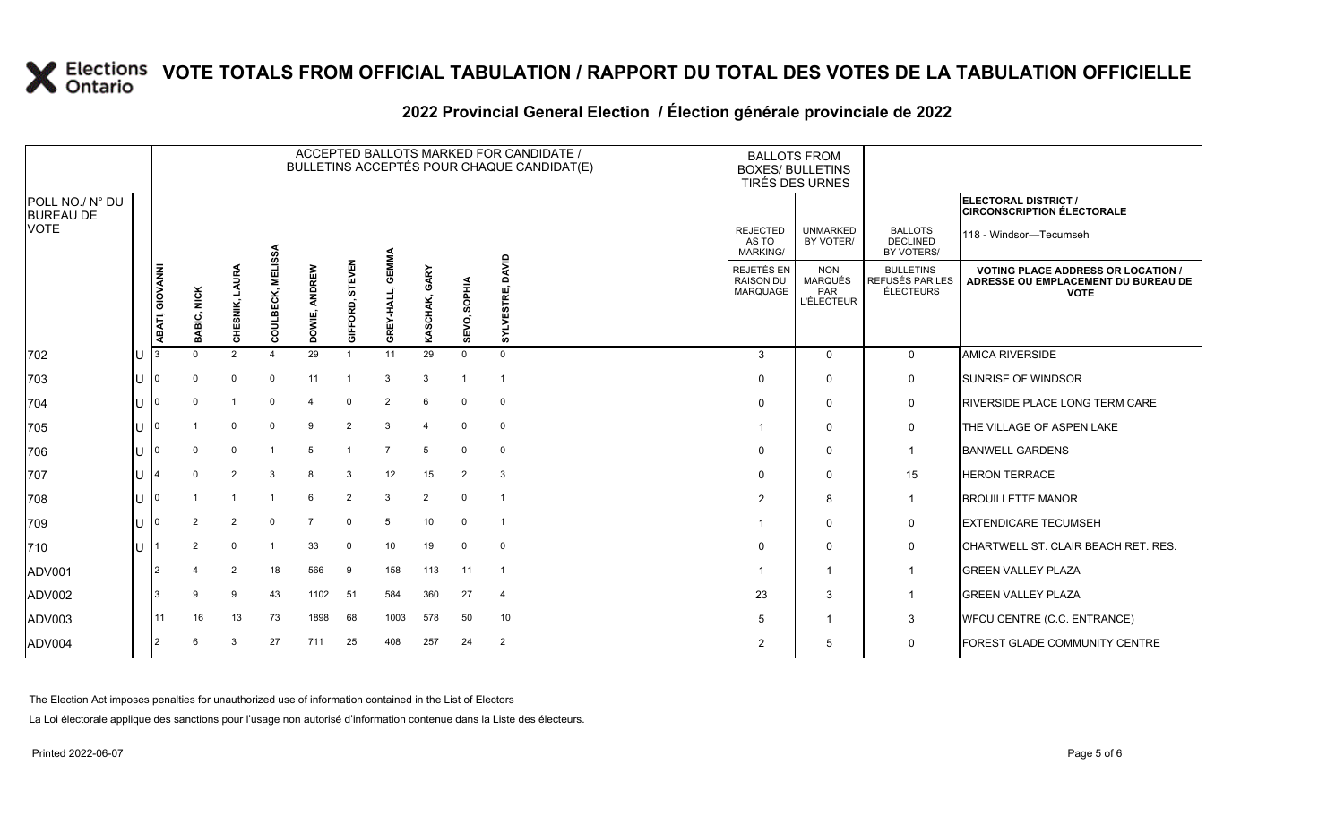#### **2022 Provincial General Election / Élection générale provinciale de 2022**

|                                     |    |                        |             |                   |                             |                  |                           |                        |                  |                        | ACCEPTED BALLOTS MARKED FOR CANDIDATE /<br>BULLETINS ACCEPTÉS POUR CHAQUE CANDIDAT(E) | <b>BALLOTS FROM</b><br><b>BOXES/ BULLETINS</b><br>TIRÉS DES URNES |                                                          |                                                         |                                                                                                 |
|-------------------------------------|----|------------------------|-------------|-------------------|-----------------------------|------------------|---------------------------|------------------------|------------------|------------------------|---------------------------------------------------------------------------------------|-------------------------------------------------------------------|----------------------------------------------------------|---------------------------------------------------------|-------------------------------------------------------------------------------------------------|
| POLL NO./ N° DU<br><b>BUREAU DE</b> |    |                        |             |                   |                             |                  |                           |                        |                  |                        |                                                                                       |                                                                   |                                                          |                                                         | ELECTORAL DISTRICT /<br><b>CIRCONSCRIPTION ÉLECTORALE</b>                                       |
| <b>VOTE</b>                         |    |                        |             |                   |                             |                  |                           |                        |                  |                        |                                                                                       | <b>REJECTED</b><br>AS TO<br><b>MARKING/</b>                       | <b>UNMARKED</b><br>BY VOTER/                             | <b>BALLOTS</b><br><b>DECLINED</b><br>BY VOTERS/         | 118 - Windsor-Tecumseh                                                                          |
|                                     |    | <b>ABATI, GIOVANNI</b> | BABIC, NICK | LAURA<br>CHESNIK, | <b>MELISSA</b><br>COULBECK, | ANDREW<br>DOWIE, | <b>STEVEN</b><br>GIFFORD, | <b>GEM</b><br>GREY-HAL | GARY<br>KASCHAK, | <b>SOPHIA</b><br>SEVO, | DAVID<br>пi<br>SYLVES                                                                 | REJETÉS EN<br><b>RAISON DU</b><br>MARQUAGE                        | <b>NON</b><br><b>MARQUÉS</b><br>PAR<br><b>L'ÉLECTEUR</b> | <b>BULLETINS</b><br>REFUSÉS PAR LES<br><b>ÉLECTEURS</b> | <b>VOTING PLACE ADDRESS OR LOCATION /</b><br>ADRESSE OU EMPLACEMENT DU BUREAU DE<br><b>VOTE</b> |
| 702                                 | IU |                        | $\Omega$    | 2                 | $\overline{a}$              | 29               | -1                        | 11                     | 29               | $\mathbf 0$            | $\mathbf 0$                                                                           | 3                                                                 | $\mathbf 0$                                              | $\mathbf 0$                                             | <b>AMICA RIVERSIDE</b>                                                                          |
| 703                                 | lu |                        | 0           | $\Omega$          | $\Omega$                    | 11               |                           | 3                      | 3                |                        |                                                                                       | $\Omega$                                                          | $\mathbf 0$                                              | 0                                                       | <b>SUNRISE OF WINDSOR</b>                                                                       |
| 704                                 | Iυ |                        | $\Omega$    |                   | $\Omega$                    | $\overline{4}$   | $\Omega$                  | $\overline{2}$         | 6                | $\Omega$               | $\overline{\mathbf{0}}$                                                               | 0                                                                 | $\mathbf 0$                                              | 0                                                       | <b>RIVERSIDE PLACE LONG TERM CARE</b>                                                           |
| 705                                 | lu |                        |             | $\mathbf 0$       | $\mathbf 0$                 | 9                | $\overline{2}$            | 3                      | 4                | $\Omega$               | $\overline{0}$                                                                        |                                                                   | $\mathbf 0$                                              | 0                                                       | THE VILLAGE OF ASPEN LAKE                                                                       |
| 706                                 | Iυ |                        | $\Omega$    | $\Omega$          |                             | 5                |                           | $\overline{7}$         | 5                | $\mathbf 0$            | $\overline{\mathbf{0}}$                                                               |                                                                   | $\mathsf{O}$                                             | -1                                                      | <b>BANWELL GARDENS</b>                                                                          |
| 707                                 | lu |                        | $\Omega$    | $\overline{2}$    | 3                           | 8                | 3                         | 12                     | 15               | $\overline{2}$         | 3                                                                                     | $\Omega$                                                          | $\mathbf 0$                                              | 15                                                      | <b>HERON TERRACE</b>                                                                            |
| 708                                 | lu |                        |             |                   |                             | 6                | $\overline{2}$            | 3                      | $\overline{2}$   | $\Omega$               | $\overline{\mathbf{1}}$                                                               | $\overline{2}$                                                    | 8                                                        | $\mathbf{1}$                                            | <b>BROUILLETTE MANOR</b>                                                                        |
| 709                                 | lu |                        | 2           | $\overline{2}$    | $\Omega$                    | $\overline{7}$   | $\mathbf 0$               | 5                      | 10               | $\Omega$               | $\overline{1}$                                                                        |                                                                   | $\mathbf 0$                                              | 0                                                       | <b>EXTENDICARE TECUMSEH</b>                                                                     |
| 710                                 | lu |                        | 2           | $\mathbf 0$       |                             | 33               | $\mathbf 0$               | 10                     | 19               | $\Omega$               | $\overline{\mathbf{0}}$                                                               | $\Omega$                                                          | $\mathbf 0$                                              | 0                                                       | CHARTWELL ST. CLAIR BEACH RET. RES.                                                             |
| ADV001                              |    |                        |             | $\overline{2}$    | 18                          | 566              | 9                         | 158                    | 113              | 11                     | $\overline{1}$                                                                        |                                                                   |                                                          | $\mathbf{1}$                                            | <b>GREEN VALLEY PLAZA</b>                                                                       |
| ADV002                              |    |                        | 9           | 9                 | 43                          | 1102             | 51                        | 584                    | 360              | 27                     | $\overline{4}$                                                                        | 23                                                                | 3                                                        | $\overline{1}$                                          | <b>GREEN VALLEY PLAZA</b>                                                                       |
| ADV003                              |    | 11                     | 16          | 13                | 73                          | 1898             | 68                        | 1003                   | 578              | 50                     | 10                                                                                    | 5                                                                 |                                                          | 3                                                       | WFCU CENTRE (C.C. ENTRANCE)                                                                     |
| ADV004                              |    | $\overline{2}$         | 6           | 3                 | 27                          | 711              | 25                        | 408                    | 257              | 24                     | $\overline{2}$                                                                        | $\overline{2}$                                                    | 5                                                        | 0                                                       | FOREST GLADE COMMUNITY CENTRE                                                                   |

The Election Act imposes penalties for unauthorized use of information contained in the List of Electors